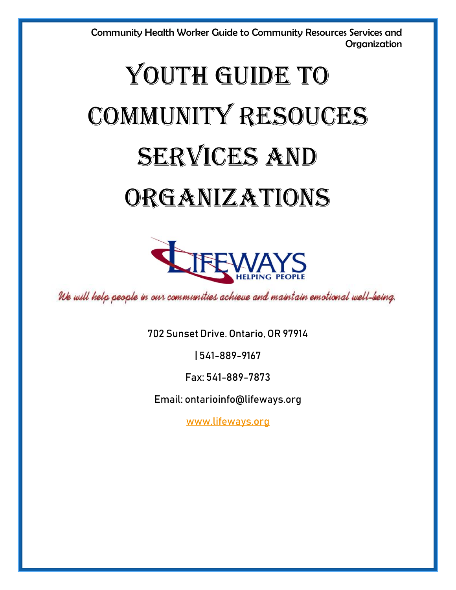# YOUTH GUIDE TO COMMUNITY RESOUCES SERVICES AND ORGANIZATIONS



We will help people in our communities achieve and maintain emotional well-being.

702 Sunset Drive. Ontario, OR 97914

| 541-889-9167

Fax: 541-889-7873

Email: ontarioinfo@lifeways.org

[www.lifeways.org](http://www.lifeways.org/)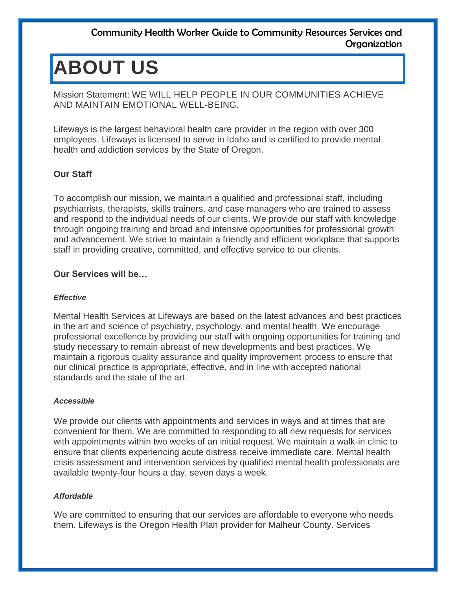## **ABOUT US**

Mission Statement: WE WILL HELP PEOPLE IN OUR COMMUNITIES ACHIEVE AND MAINTAIN EMOTIONAL WELL-BEING.

Lifeways is the largest behavioral health care provider in the region with over 300 employees. Lifeways is licensed to serve in Idaho and is certified to provide mental health and addiction services by the State of Oregon.

#### **Our Staff**

To accomplish our mission, we maintain a qualified and professional staff, including psychiatrists, therapists, skills trainers, and case managers who are trained to assess and respond to the individual needs of our clients. We provide our staff with knowledge through ongoing training and broad and intensive opportunities for professional growth and advancement. We strive to maintain a friendly and efficient workplace that supports staff in providing creative, committed, and effective service to our clients.

#### **Our Services will be…**

#### *Effective*

Mental Health Services at Lifeways are based on the latest advances and best practices in the art and science of psychiatry, psychology, and mental health. We encourage professional excellence by providing our staff with ongoing opportunities for training and study necessary to remain abreast of new developments and best practices. We maintain a rigorous quality assurance and quality improvement process to ensure that our clinical practice is appropriate, effective, and in line with accepted national standards and the state of the art.

#### *Accessible*

We provide our clients with appointments and services in ways and at times that are convenient for them. We are committed to responding to all new requests for services with appointments within two weeks of an initial request. We maintain a walk-in clinic to ensure that clients experiencing acute distress receive immediate care. Mental health crisis assessment and intervention services by qualified mental health professionals are available twenty-four hours a day, seven days a week.

#### *Affordable*

We are committed to ensuring that our services are affordable to everyone who needs them. Lifeways is the Oregon Health Plan provider for Malheur County. Services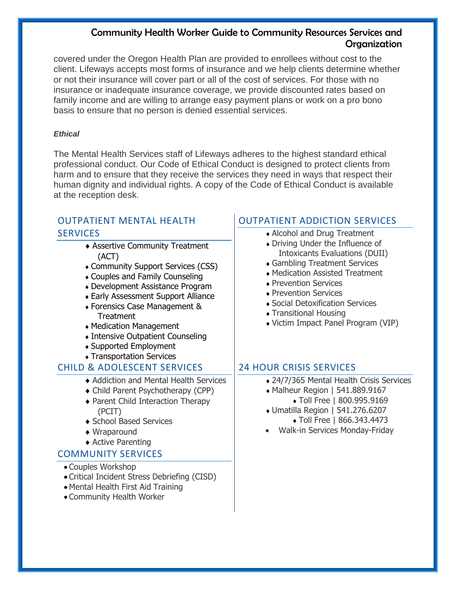covered under the Oregon Health Plan are provided to enrollees without cost to the client. Lifeways accepts most forms of insurance and we help clients determine whether or not their insurance will cover part or all of the cost of services. For those with no insurance or inadequate insurance coverage, we provide discounted rates based on family income and are willing to arrange easy payment plans or work on a pro bono basis to ensure that no person is denied essential services.

#### *Ethical*

The Mental Health Services staff of Lifeways adheres to the highest standard ethical professional conduct. Our Code of Ethical Conduct is designed to protect clients from harm and to ensure that they receive the services they need in ways that respect their human dignity and individual rights. A copy of the Code of Ethical Conduct is available at the reception desk.

#### OUTPATIENT MENTAL HEALTH **SERVICES**

- Assertive Community Treatment (ACT)
- Community Support Services (CSS)
- Couples and Family Counseling
- Development Assistance Program
- Early Assessment Support Alliance
- Forensics Case Management & **Treatment**
- Medication Management
- Intensive Outpatient Counseling
- Supported Employment
- Transportation Services

### CHILD & ADOLESCENT SERVICES

- ◆ Addiction and Mental Health Services
- Child Parent Psychotherapy (CPP)
- ◆ Parent Child Interaction Therapy (PCIT)
- ◆ School Based Services
- ◆ Wraparound
- ◆ Active Parenting

### COMMUNITY SERVICES

- Couples Workshop
- Critical Incident Stress Debriefing (CISD)
- Mental Health First Aid Training
- Community Health Worker

## OUTPATIENT ADDICTION SERVICES

- Alcohol and Drug Treatment
- Driving Under the Influence of Intoxicants Evaluations (DUII)
- Gambling Treatment Services
- Medication Assisted Treatment
- ◆ Prevention Services
- **Prevention Services**
- Social Detoxification Services
- Transitional Housing
- Victim Impact Panel Program (VIP)

### 24 HOUR CRISIS SERVICES

- 24/7/365 Mental Health Crisis Services
- Malheur Region | 541.889.9167
	- Toll Free | 800.995.9169
- Umatilla Region | 541.276.6207 Toll Free | 866.343.4473
- Walk-in Services Monday-Friday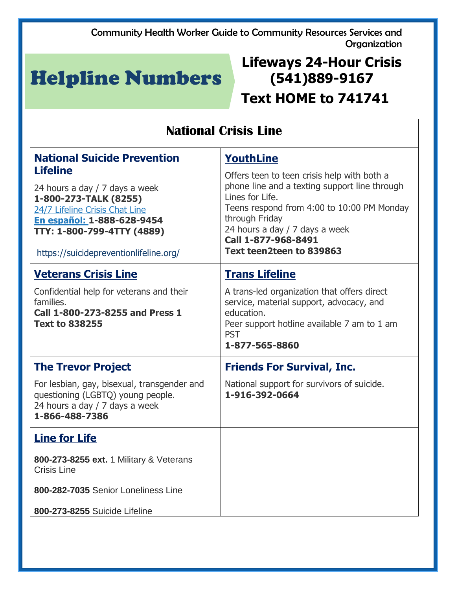## Helpline Numbers

## **Lifeways 24-Hour Crisis (541)889-9167 Text HOME to 741741**

| <b>National Crisis Line</b>                                                                                                                                                                                                                                     |                                                                                                                                                                                                                                                                                          |
|-----------------------------------------------------------------------------------------------------------------------------------------------------------------------------------------------------------------------------------------------------------------|------------------------------------------------------------------------------------------------------------------------------------------------------------------------------------------------------------------------------------------------------------------------------------------|
| <b>National Suicide Prevention</b><br><b>Lifeline</b><br>24 hours a day / 7 days a week<br>1-800-273-TALK (8255)<br>24/7 Lifeline Crisis Chat Line<br><b>En español: 1-888-628-9454</b><br>TTY: 1-800-799-4TTY (4889)<br>https://suicidepreventionlifeline.org/ | <b>YouthLine</b><br>Offers teen to teen crisis help with both a<br>phone line and a texting support line through<br>Lines for Life.<br>Teens respond from 4:00 to 10:00 PM Monday<br>through Friday<br>24 hours a day / 7 days a week<br>Call 1-877-968-8491<br>Text teen2teen to 839863 |
| <b>Veterans Crisis Line</b><br>Confidential help for veterans and their<br>families.<br>Call 1-800-273-8255 and Press 1<br><b>Text to 838255</b>                                                                                                                | <b>Trans Lifeline</b><br>A trans-led organization that offers direct<br>service, material support, advocacy, and<br>education.<br>Peer support hotline available 7 am to 1 am<br><b>PST</b><br>1-877-565-8860                                                                            |
| <b>The Trevor Project</b><br>For lesbian, gay, bisexual, transgender and<br>questioning (LGBTQ) young people.<br>24 hours a day / 7 days a week<br>1-866-488-7386                                                                                               | <b>Friends For Survival, Inc.</b><br>National support for survivors of suicide.<br>1-916-392-0664                                                                                                                                                                                        |
| <b>Line for Life</b><br>800-273-8255 ext. 1 Military & Veterans<br><b>Crisis Line</b><br>800-282-7035 Senior Loneliness Line<br>800-273-8255 Suicide Lifeline                                                                                                   |                                                                                                                                                                                                                                                                                          |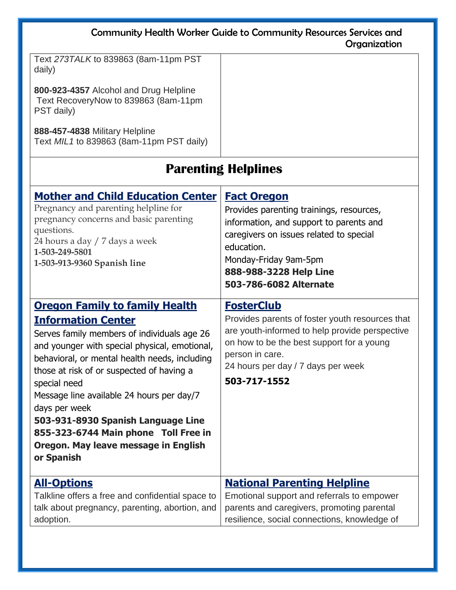| <b>Community Health Worker Guide to Community Resources Services and</b><br>Organization                                                                                                                                                                                                                                                                                                                                                                                           |                                                                                                                                                                                                                                                 |  |
|------------------------------------------------------------------------------------------------------------------------------------------------------------------------------------------------------------------------------------------------------------------------------------------------------------------------------------------------------------------------------------------------------------------------------------------------------------------------------------|-------------------------------------------------------------------------------------------------------------------------------------------------------------------------------------------------------------------------------------------------|--|
| Text 273TALK to 839863 (8am-11pm PST<br>daily)<br>800-923-4357 Alcohol and Drug Helpline<br>Text RecoveryNow to 839863 (8am-11pm<br>PST daily)<br>888-457-4838 Military Helpline<br>Text MIL1 to 839863 (8am-11pm PST daily)                                                                                                                                                                                                                                                       |                                                                                                                                                                                                                                                 |  |
| <b>Parenting Helplines</b>                                                                                                                                                                                                                                                                                                                                                                                                                                                         |                                                                                                                                                                                                                                                 |  |
| <b>Mother and Child Education Center</b><br>Pregnancy and parenting helpline for<br>pregnancy concerns and basic parenting<br>questions.<br>24 hours a day / 7 days a week<br>1-503-249-5801<br>1-503-913-9360 Spanish line                                                                                                                                                                                                                                                        | <b>Fact Oregon</b><br>Provides parenting trainings, resources,<br>information, and support to parents and<br>caregivers on issues related to special<br>education.<br>Monday-Friday 9am-5pm<br>888-988-3228 Help Line<br>503-786-6082 Alternate |  |
| <b>Oregon Family to family Health</b><br><b>Information Center</b><br>Serves family members of individuals age 26<br>and younger with special physical, emotional,<br>behavioral, or mental health needs, including<br>those at risk of or suspected of having a<br>special need<br>Message line available 24 hours per day/7<br>days per week<br>503-931-8930 Spanish Language Line<br>855-323-6744 Main phone Toll Free in<br>Oregon. May leave message in English<br>or Spanish | <b>FosterClub</b><br>Provides parents of foster youth resources that<br>are youth-informed to help provide perspective<br>on how to be the best support for a young<br>person in care.<br>24 hours per day / 7 days per week<br>503-717-1552    |  |
| <b>All-Options</b><br>Talkline offers a free and confidential space to<br>talk about pregnancy, parenting, abortion, and<br>adoption.                                                                                                                                                                                                                                                                                                                                              | <b>National Parenting Helpline</b><br>Emotional support and referrals to empower<br>parents and caregivers, promoting parental<br>resilience, social connections, knowledge of                                                                  |  |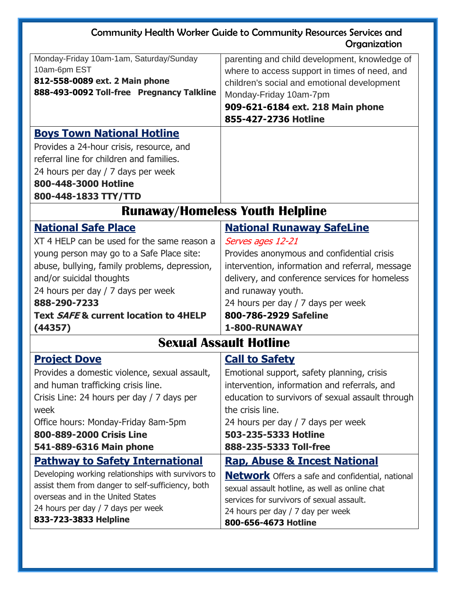| Monday-Friday 10am-1am, Saturday/Sunday            | parenting and child development, knowledge of           |
|----------------------------------------------------|---------------------------------------------------------|
| 10am-6pm EST                                       | where to access support in times of need, and           |
| 812-558-0089 ext. 2 Main phone                     | children's social and emotional development             |
| 888-493-0092 Toll-free Pregnancy Talkline          | Monday-Friday 10am-7pm                                  |
|                                                    | 909-621-6184 ext. 218 Main phone                        |
|                                                    | 855-427-2736 Hotline                                    |
| <b>Boys Town National Hotline</b>                  |                                                         |
| Provides a 24-hour crisis, resource, and           |                                                         |
| referral line for children and families.           |                                                         |
| 24 hours per day / 7 days per week                 |                                                         |
| 800-448-3000 Hotline                               |                                                         |
| 800-448-1833 TTY/TTD                               |                                                         |
| <b>Runaway/Homeless Youth Helpline</b>             |                                                         |
| <b>National Safe Place</b>                         | <b>National Runaway SafeLine</b>                        |
| XT 4 HELP can be used for the same reason a        | Serves ages 12-21                                       |
| young person may go to a Safe Place site:          | Provides anonymous and confidential crisis              |
| abuse, bullying, family problems, depression,      | intervention, information and referral, message         |
| and/or suicidal thoughts                           | delivery, and conference services for homeless          |
| 24 hours per day / 7 days per week                 | and runaway youth.                                      |
| 888-290-7233                                       | 24 hours per day / 7 days per week                      |
| Text SAFE & current location to 4HELP              | 800-786-2929 Safeline                                   |
| (44357)                                            | 1-800-RUNAWAY                                           |
|                                                    | <b>Sexual Assault Hotline</b>                           |
| <b>Project Dove</b>                                | <b>Call to Safety</b>                                   |
| Provides a domestic violence, sexual assault,      | Emotional support, safety planning, crisis              |
| and human trafficking crisis line.                 | intervention, information and referrals, and            |
| Crisis Line: 24 hours per day / 7 days per         | education to survivors of sexual assault through        |
| week                                               | the crisis line.                                        |
| Office hours: Monday-Friday 8am-5pm                | 24 hours per day / 7 days per week                      |
| 800-889-2000 Crisis Line                           | 503-235-5333 Hotline                                    |
| 541-889-6316 Main phone                            | 888-235-5333 Toll-free                                  |
| <u>Pathway to Safety International</u>             | <b>Rap, Abuse &amp; Incest National</b>                 |
| Developing working relationships with survivors to | <b>Network</b> Offers a safe and confidential, national |
| assist them from danger to self-sufficiency, both  | sexual assault hotline, as well as online chat          |
| overseas and in the United States                  | services for survivors of sexual assault.               |
| 24 hours per day / 7 days per week                 | 24 hours per day / 7 day per week                       |
| 833-723-3833 Helpline                              | 800-656-4673 Hotline                                    |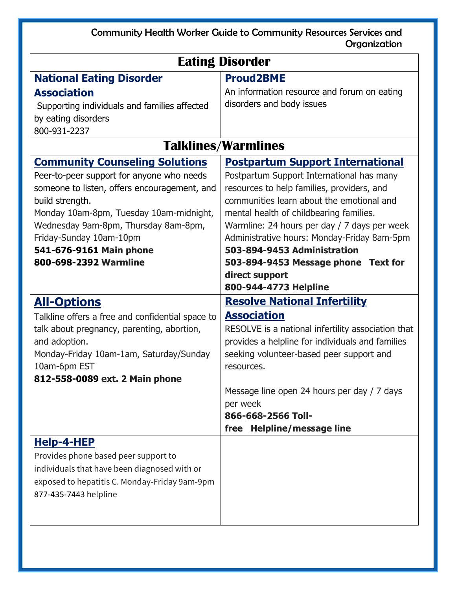| <b>Eating Disorder</b>                             |                                                                            |  |
|----------------------------------------------------|----------------------------------------------------------------------------|--|
| <b>National Eating Disorder</b>                    | <b>Proud2BME</b>                                                           |  |
| <b>Association</b>                                 | An information resource and forum on eating                                |  |
| Supporting individuals and families affected       | disorders and body issues                                                  |  |
| by eating disorders                                |                                                                            |  |
| 800-931-2237                                       |                                                                            |  |
| <b>Talklines/Warmlines</b>                         |                                                                            |  |
| <b>Community Counseling Solutions</b>              | <b>Postpartum Support International</b>                                    |  |
| Peer-to-peer support for anyone who needs          | Postpartum Support International has many                                  |  |
| someone to listen, offers encouragement, and       | resources to help families, providers, and                                 |  |
| build strength.                                    | communities learn about the emotional and                                  |  |
| Monday 10am-8pm, Tuesday 10am-midnight,            | mental health of childbearing families.                                    |  |
| Wednesday 9am-8pm, Thursday 8am-8pm,               | Warmline: 24 hours per day / 7 days per week                               |  |
| Friday-Sunday 10am-10pm<br>541-676-9161 Main phone | Administrative hours: Monday-Friday 8am-5pm<br>503-894-9453 Administration |  |
| 800-698-2392 Warmline                              | 503-894-9453 Message phone Text for                                        |  |
|                                                    | direct support                                                             |  |
|                                                    | 800-944-4773 Helpline                                                      |  |
| <b>All-Options</b>                                 | <b>Resolve National Infertility</b>                                        |  |
| Talkline offers a free and confidential space to   | <b>Association</b>                                                         |  |
| talk about pregnancy, parenting, abortion,         | RESOLVE is a national infertility association that                         |  |
| and adoption.                                      | provides a helpline for individuals and families                           |  |
| Monday-Friday 10am-1am, Saturday/Sunday            | seeking volunteer-based peer support and                                   |  |
| 10am-6pm EST                                       | resources.                                                                 |  |
| 812-558-0089 ext. 2 Main phone                     |                                                                            |  |
|                                                    | Message line open 24 hours per day / 7 days                                |  |
|                                                    | per week<br>866-668-2566 Toll-                                             |  |
|                                                    | free Helpline/message line                                                 |  |
| <u>Help-4-HEP</u>                                  |                                                                            |  |
| Provides phone based peer support to               |                                                                            |  |
| individuals that have been diagnosed with or       |                                                                            |  |
| exposed to hepatitis C. Monday-Friday 9am-9pm      |                                                                            |  |
| 877-435-7443 helpline                              |                                                                            |  |
|                                                    |                                                                            |  |
|                                                    |                                                                            |  |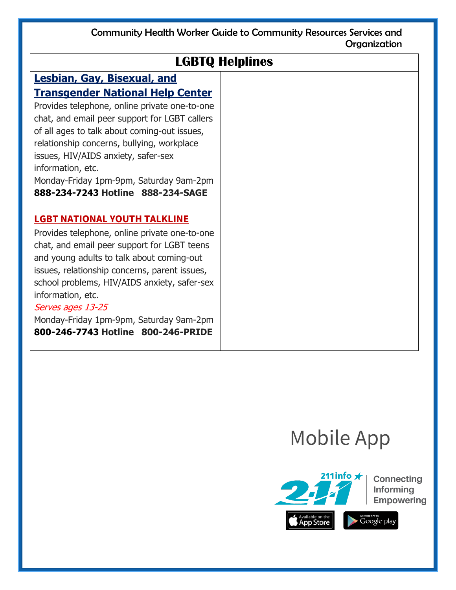| <b>LGBTQ Helplines</b>                                       |  |
|--------------------------------------------------------------|--|
| <b>Lesbian, Gay, Bisexual, and</b>                           |  |
| <b>Transgender National Help Center</b>                      |  |
| Provides telephone, online private one-to-one                |  |
| chat, and email peer support for LGBT callers                |  |
| of all ages to talk about coming-out issues,                 |  |
| relationship concerns, bullying, workplace                   |  |
| issues, HIV/AIDS anxiety, safer-sex<br>information, etc.     |  |
| Monday-Friday 1pm-9pm, Saturday 9am-2pm                      |  |
| 888-234-7243 Hotline 888-234-SAGE                            |  |
|                                                              |  |
| <b>LGBT NATIONAL YOUTH TALKLINE</b>                          |  |
| Provides telephone, online private one-to-one                |  |
| chat, and email peer support for LGBT teens                  |  |
| and young adults to talk about coming-out                    |  |
| issues, relationship concerns, parent issues,                |  |
| school problems, HIV/AIDS anxiety, safer-sex                 |  |
| information, etc.                                            |  |
| Serves ages 13-25<br>Monday-Friday 1pm-9pm, Saturday 9am-2pm |  |
| 800-246-7743 Hotline 800-246-PRIDE                           |  |
|                                                              |  |

## Mobile App

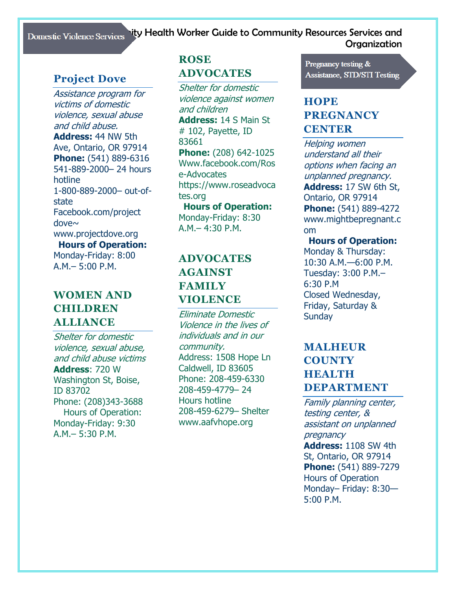#### Domestic Violence Services hity Health Worker Guide to Community Resources Services and **Organization**

## **Project Dove**

Assistance program for victims of domestic violence, sexual abuse and child abuse. **Address:** 44 NW 5th Ave, Ontario, OR 97914 **Phone:** (541) 889-6316 541-889-2000– 24 hours hotline 1-800-889-2000– out-ofstate Facebook.com/project dove~ www.projectdove.org **Hours of Operation:** Monday-Friday: 8:00 A.M.– 5:00 P.M.

## **WOMEN AND CHILDREN ALLIANCE**

Shelter for domestic violence, sexual abuse, and child abuse victims **Address**: 720 W Washington St, Boise, ID 83702 Phone: (208)343-3688 Hours of Operation: Monday-Friday: 9:30 A.M.– 5:30 P.M.

## **ROSE ADVOCATES**

Shelter for domestic violence against women and children **Address:** 14 S Main St # 102, Payette, ID 83661 **Phone:** (208) 642-1025 Www.facebook.com/Ros e-Advocates https://www.roseadvoca tes.org

**Hours of Operation:** Monday-Friday: 8:30 A.M.– 4:30 P.M.

## **ADVOCATES AGAINST FAMILY VIOLENCE**

Eliminate Domestic Violence in the lives of individuals and in our community. Address: 1508 Hope Ln Caldwell, ID 83605 Phone: 208-459-6330 208-459-4779– 24 Hours hotline 208-459-6279– Shelter www.aafvhope.org

Pregnancy testing & **Assistance, STD/STI Testing** 

## **HOPE PREGNANCY CENTER**

Helping women understand all their options when facing an unplanned pregnancy. **Address:** 17 SW 6th St, Ontario, OR 97914 **Phone:** (541) 889-4272 www.mightbepregnant.c om

#### **Hours of Operation:** Monday & Thursday:

10:30 A.M.—6:00 P.M. Tuesday: 3:00 P.M.– 6:30 P.M Closed Wednesday, Friday, Saturday & **Sundav** 

## **MALHEUR COUNTY HEALTH DEPARTMENT**

Family planning center, testing center, & assistant on unplanned pregnancy **Address:** 1108 SW 4th St, Ontario, OR 97914 **Phone:** (541) 889-7279 Hours of Operation Monday– Friday: 8:30— 5:00 P.M.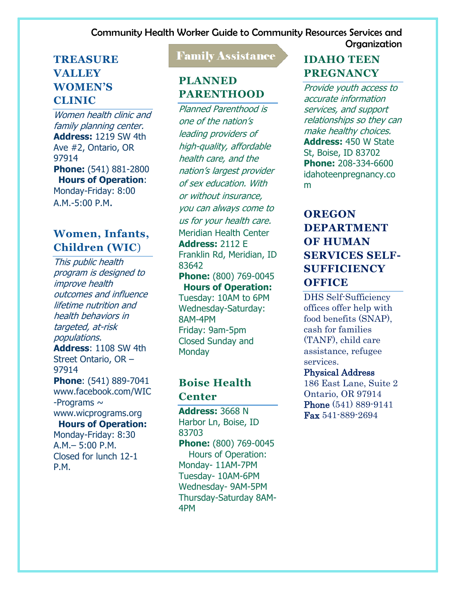## **TREASURE VALLEY WOMEN'S CLINIC**

Women health clinic and family planning center. **Address:** 1219 SW 4th Ave #2, Ontario, OR 97914 **Phone:** (541) 881-2800 **Hours of Operation**: Monday-Friday: 8:00 A.M.-5:00 P.M.

## **Women, Infants, Children (WIC**)

This public health program is designed to improve health outcomes and influence lifetime nutrition and health behaviors in targeted, at-risk populations. **Address**: 1108 SW 4th Street Ontario, OR – 97914 **Phone**: (541) 889-7041 www.facebook.com/WIC -Programs  $\sim$ www.wicprograms.org **Hours of Operation:** Monday-Friday: 8:30

A.M.– 5:00 P.M. Closed for lunch 12-1 P.M.

## **Family Assistance**

## **PLANNED PARENTHOOD**

Planned Parenthood is one of the nation's leading providers of high-quality, affordable health care, and the nation's largest provider of sex education. With or without insurance, you can always come to us for your health care. Meridian Health Center **Address:** 2112 E Franklin Rd, Meridian, ID 83642 **Phone:** (800) 769-0045 **Hours of Operation:** Tuesday: 10AM to 6PM Wednesday-Saturday: 8AM-4PM Friday: 9am-5pm Closed Sunday and **Monday** 

## **Boise Health Center**

**Address:** 3668 N Harbor Ln, Boise, ID 83703 **Phone:** (800) 769-0045 Hours of Operation: Monday- 11AM-7PM Tuesday- 10AM-6PM Wednesday- 9AM-5PM Thursday-Saturday 8AM-4PM

## **IDAHO TEEN PREGNANCY**

Provide youth access to accurate information services, and support relationships so they can make healthy choices. **Address:** 450 W State St, Boise, ID 83702 **Phone:** 208-334-6600 idahoteenpregnancy.co m

## **OREGON DEPARTMENT OF HUMAN SERVICES SELF-SUFFICIENCY OFFICE**

DHS Self-Sufficiency offices offer help with food benefits (SNAP), cash for families (TANF), child care assistance, refugee services.

#### Physical Address

186 East Lane, Suite 2 Ontario, OR 97914 Phone (541) 889-9141 Fax 541-889-2694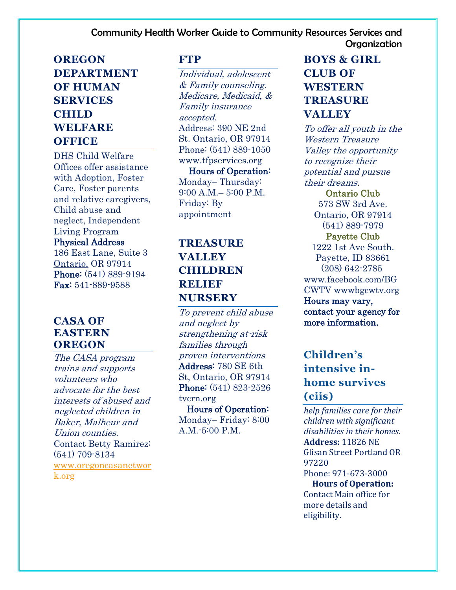## **OREGON DEPARTMENT OF HUMAN SERVICES CHILD WELFARE OFFICE**

DHS Child Welfare Offices offer assistance with Adoption, Foster Care, Foster parents and relative caregivers, Child abuse and neglect, Independent Living Program Physical Address 186 East Lane, Suite 3 Ontario, OR 97914 Phone: (541) 889-9194 Fax: 541-889-9588

#### **CASA OF EASTERN OREGON**

The CASA program trains and supports volunteers who advocate for the best interests of abused and neglected children in Baker, Malheur and Union counties. Contact Betty Ramirez: (541) 709-8134 [www.oregoncasanetwor](http://www.oregoncasanetwork.org/) [k.org](http://www.oregoncasanetwork.org/)

#### **FTP**

Individual, adolescent & Family counseling. Medicare, Medicaid, & Family insurance accepted. Address: 390 NE 2nd St. Ontario, OR 97914 Phone: (541) 889-1050 www.tfpservices.org Hours of Operation: Monday– Thursday: 9:00 A.M.– 5:00 P.M. Friday: By appointment

## **TREASURE VALLEY CHILDREN RELIEF NURSERY**

To prevent child abuse and neglect by strengthening at-risk families through proven interventions Address: 780 SE 6th St, Ontario, OR 97914 Phone: (541) 823-2526 tvcrn.org Hours of Operation:

Monday– Friday: 8:00 A.M.-5:00 P.M.

## **BOYS & GIRL CLUB OF WESTERN TREASURE VALLEY**

To offer all youth in the Western Treasure Valley the opportunity to recognize their potential and pursue their dreams.

Ontario Club 573 SW 3rd Ave. Ontario, OR 97914 (541) 889-7979 Payette Club 1222 1st Ave South. Payette, ID 83661 (208) 642-2785 www.facebook.com/BG CWTV wwwbgcwtv.org Hours may vary, contact your agency for more information.

## **Children's intensive inhome survives (ciis)**

*help families care for their children with significant disabilities in their homes.*  **Address:** 11826 NE Glisan Street Portland OR 97220 Phone: 971-673-3000 **Hours of Operation:**

Contact Main office for more details and eligibility.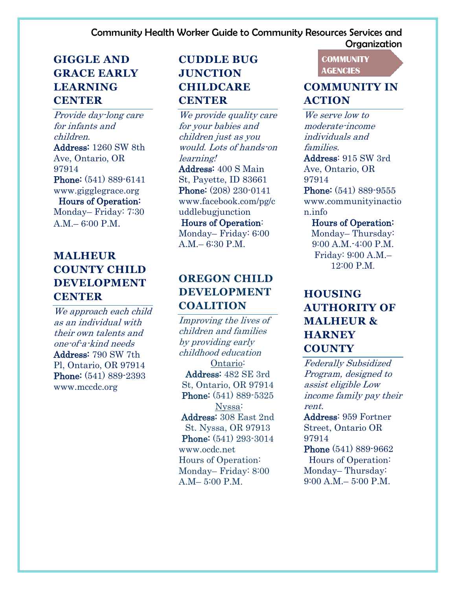## **GIGGLE AND GRACE EARLY LEARNING CENTER**

Provide day-long care for infants and children. Address: 1260 SW 8th Ave, Ontario, OR 97914 Phone: (541) 889-6141 www.gigglegrace.org

Hours of Operation:

Monday– Friday: 7:30 A.M.– 6:00 P.M.

## **MALHEUR COUNTY CHILD DEVELOPMENT CENTER**

We approach each child as an individual with their own talents and one-of-a-kind needs Address: 790 SW 7th Pl, Ontario, OR 97914 Phone: (541) 889-2393 www.mccdc.org

## **CUDDLE BUG JUNCTION CHILDCARE CENTER**

We provide quality care for your babies and children just as you would. Lots of hands-on learning! Address: 400 S Main St, Payette, ID 83661 Phone: (208) 230-0141 www.facebook.com/pg/c uddlebugjunction Hours of Operation:

Monday– Friday: 6:00 A.M.– 6:30 P.M.

## **OREGON CHILD DEVELOPMENT COALITION**

Improving the lives of children and families by providing early childhood education Ontario: Address: 482 SE 3rd St, Ontario, OR 97914 Phone: (541) 889-5325 Nyssa: Address: 308 East 2nd St. Nyssa, OR 97913 Phone: (541) 293-3014 www.ocdc.net Hours of Operation: Monday– Friday: 8:00 A.M– 5:00 P.M.

#### **COMMUNITY AGENCIES**

## **COMMUNITY IN ACTION**

We serve low to moderate-income individuals and families.

Address: 915 SW 3rd Ave, Ontario, OR 97914

Phone: (541) 889-9555 www.communityinactio n.info

Hours of Operation:

Monday– Thursday: 9:00 A.M.-4:00 P.M. Friday: 9:00 A.M.– 12:00 P.M.

## **HOUSING AUTHORITY OF MALHEUR & HARNEY COUNTY**

Federally Subsidized Program, designed to assist eligible Low income family pay their rent.

Address: 959 Fortner Street, Ontario OR 97914

Phone (541) 889-9662 Hours of Operation: Monday– Thursday: 9:00 A.M.– 5:00 P.M.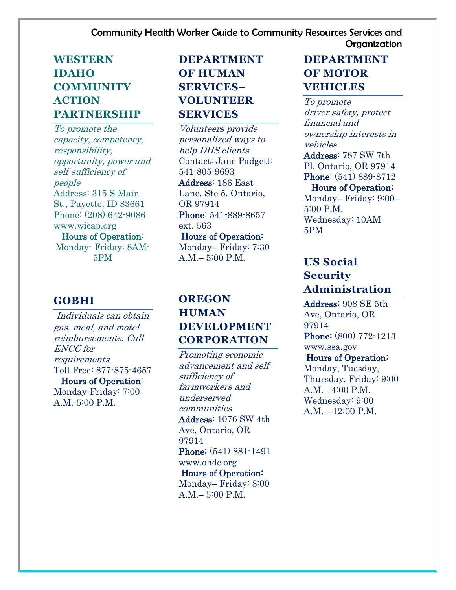## **WESTERN IDAHO COMMUNITY ACTION PARTNERSHIP**

To promote the capacity, competency, responsibility, opportunity, power and self-sufficiency of people Address: 315 S Main St., Payette, ID 83661 Phone: (208) 642-9086 [www.wicap.org](http://www.wicap.org/) Hours of Operation: Monday- Friday: 8AM-5PM

## **GOBHI**

Individuals can obtain gas, meal, and motel reimbursements. Call ENCC for requirements Toll Free: 877-875-4657

 Hours of Operation: Monday-Friday: 7:00 A.M.-5:00 P.M.

## **DEPARTMENT OF HUMAN SERVICES– VOLUNTEER SERVICES**

Volunteers provide personalized ways to help DHS clients Contact: Jane Padgett: 541-805-9693 Address: 186 East Lane, Ste 5. Ontario, OR 97914 Phone: 541-889-8657 ext. 563 Hours of Operation: Monday– Friday: 7:30  $A.M = 5:00 P.M.$ 

## **OREGON HUMAN DEVELOPMENT CORPORATION**

Promoting economic advancement and selfsufficiency of farmworkers and underserved communities Address: 1076 SW 4th Ave, Ontario, OR 97914 Phone: (541) 881-1491 www.ohdc.org Hours of Operation: Monday– Friday: 8:00 A.M.– 5:00 P.M.

## **DEPARTMENT OF MOTOR VEHICLES**

To promote driver safety, protect financial and ownership interests in vehicles Address: 787 SW 7th Pl. Ontario, OR 97914 Phone: (541) 889-8712 Hours of Operation: Monday– Friday: 9:00– 5:00 P.M. Wednesday: 10AM-5PM

## **US Social Security Administration**

Address: 908 SE 5th Ave, Ontario, OR 97914 Phone: (800) 772-1213 www.ssa.gov

 Hours of Operation: Monday, Tuesday, Thursday, Friday: 9:00 A.M.– 4:00 P.M. Wednesday: 9:00 A.M.—12:00 P.M.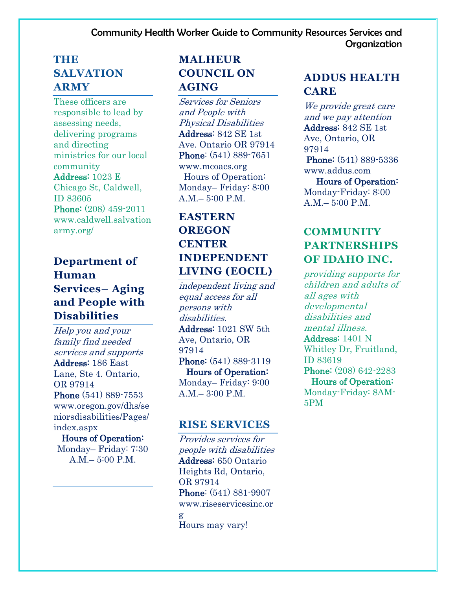## **THE SALVATION ARMY**

These officers are responsible to lead by assessing needs, delivering programs and directing ministries for our local community Address: 1023 E Chicago St, Caldwell, ID 83605 Phone: (208) 459-2011 www.caldwell.salvation army.org/

## **Department of Human Services– Aging and People with Disabilities**

Help you and your family find needed services and supports Address: 186 East Lane, Ste 4. Ontario, OR 97914 Phone (541) 889-7553 www.oregon.gov/dhs/se niorsdisabilities/Pages/ index.aspx Hours of Operation:

Monday– Friday: 7:30 A.M.– 5:00 P.M.

## **MALHEUR COUNCIL ON AGING**

Services for Seniors and People with Physical Disabilities Address: 842 SE 1st Ave. Ontario OR 97914 Phone: (541) 889-7651 www.mcoacs.org Hours of Operation: Monday– Friday: 8:00 A.M.– 5:00 P.M.

## **EASTERN OREGON CENTER INDEPENDENT LIVING (EOCIL)**

independent living and equal access for all persons with disabilities. Address: 1021 SW 5th Ave, Ontario, OR 97914 Phone: (541) 889-3119 Hours of Operation: Monday– Friday: 9:00 A.M.– 3:00 P.M.

#### **RISE SERVICES**

Provides services for people with disabilities Address: 650 Ontario Heights Rd, Ontario, OR 97914 Phone: (541) 881-9907 www.riseservicesinc.or g Hours may vary!

## **ADDUS HEALTH CARE**

We provide great care and we pay attention Address: 842 SE 1st Ave, Ontario, OR 97914 Phone: (541) 889-5336 www.addus.com Hours of Operation: Monday-Friday: 8:00 A.M.– 5:00 P.M.

## **COMMUNITY PARTNERSHIPS OF IDAHO INC.**

providing supports for children and adults of all ages with developmental disabilities and mental illness. Address: 1401 N Whitley Dr, Fruitland, ID 83619 Phone: (208) 642-2283 Hours of Operation: Monday-Friday: 8AM-5PM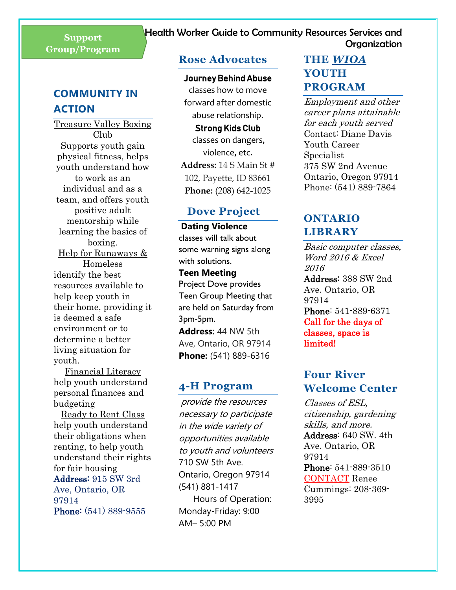## **Group/Program**

## **COMMUNITY IN ACTION**

Treasure Valley Boxing Club Supports youth gain physical fitness, helps youth understand how to work as an individual and as a team, and offers youth positive adult mentorship while learning the basics of boxing. Help for Runaways & Homeless identify the best resources available to help keep youth in their home, providing it is deemed a safe environment or to determine a better living situation for youth.

Financial Literacy help youth understand personal finances and budgeting

Ready to Rent Class help youth understand their obligations when renting, to help youth understand their rights for fair housing Address: 915 SW 3rd Ave, Ontario, OR 97914 Phone: (541) 889-9555

#### **Rose Advocates**

#### Journey Behind Abuse

classes how to move forward after domestic abuse relationship.

## Strong Kids Club

classes on dangers, violence, etc. **Address:** 14 S Main St # 102, Payette, ID 83661 **Phone:** (208) 642-1025

#### **Dove Project**

**Dating Violence** classes will talk about some warning signs along with solutions.

#### **Teen Meeting** Project Dove provides

Teen Group Meeting that are held on Saturday from 3pm-5pm.

**Address:** 44 NW 5th Ave, Ontario, OR 97914 **Phone:** (541) 889-6316

#### **4-H Program**

provide the resources necessary to participate in the wide variety of opportunities available to youth and volunteers 710 SW 5th Ave. Ontario, Oregon 97914 (541) 881-1417 Hours of Operation: Monday-Friday: 9:00 AM– 5:00 PM

## **THE** *WIOA* **YOUTH PROGRAM**

Employment and other career plans attainable for each youth served Contact: Diane Davis Youth Career Specialist 375 SW 2nd Avenue Ontario, Oregon 97914 Phone: (541) 889-7864

## **ONTARIO LIBRARY**

Basic computer classes, Word 2016 & Excel 2016 Address: 388 SW 2nd Ave. Ontario, OR 97914 Phone: 541-889-6371 Call for the days of classes, space is limited!

## **Four River Welcome Center**

Classes of ESL, citizenship, gardening skills, and more. Address: 640 SW. 4th Ave. Ontario, OR 97914 Phone: 541-889-3510 CONTACT Renee Cummings: 208-369- 3995

## Community Health Worker Guide to Community Resources Services and Organization **Support**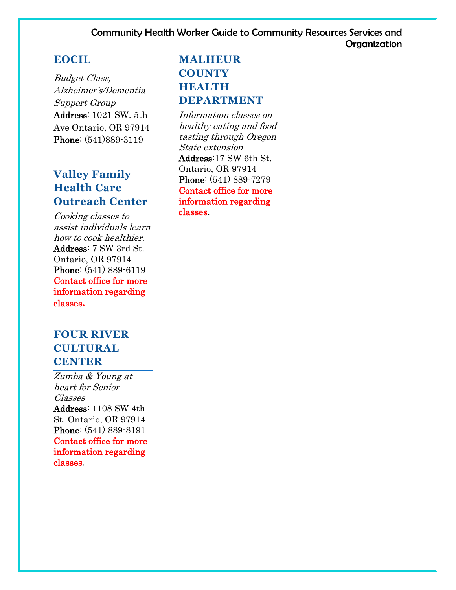#### **EOCIL**

Budget Class, Alzheimer's/Dementia Support Group Address: 1021 SW. 5th Ave Ontario, OR 97914 Phone: (541)889-3119

## **Valley Family Health Care Outreach Center**

Cooking classes to assist individuals learn how to cook healthier. Address: 7 SW 3rd St. Ontario, OR 97914 Phone: (541) 889-6119 Contact office for more information regarding classes**.**

## **FOUR RIVER CULTURAL CENTER**

Zumba & Young at heart for Senior Classes Address: 1108 SW 4th St. Ontario, OR 97914 Phone: (541) 889-8191 Contact office for more information regarding classes.

## **MALHEUR COUNTY HEALTH DEPARTMENT**

Information classes on healthy eating and food tasting through Oregon State extension Address:17 SW 6th St. Ontario, OR 97914 Phone: (541) 889-7279 Contact office for more information regarding classes.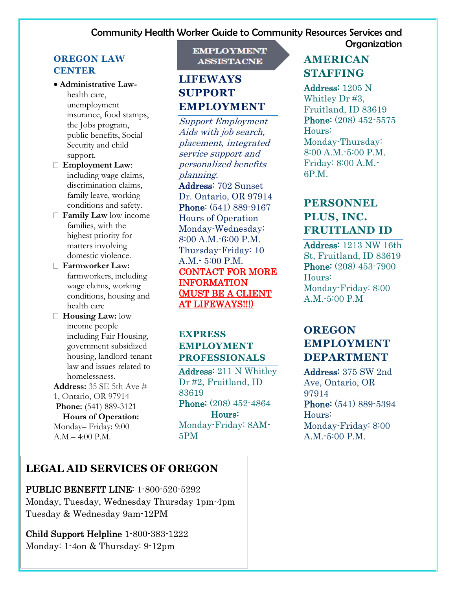## **Organization**

#### **OREGON LAW CENTER**

- **Administrative Law**health care, unemployment insurance, food stamps, the Jobs program, public benefits, Social Security and child support.
- **Employment Law**: including wage claims, discrimination claims, family leave, working conditions and safety.
- **Family Law** low income families, with the highest priority for matters involving domestic violence.
- **Farmworker Law:**  farmworkers, including wage claims, working conditions, housing and health care
- **Housing Law:** low income people including Fair Housing, government subsidized housing, landlord-tenant law and issues related to homelessness.

**Address:** 35 SE 5th Ave # 1, Ontario, OR 97914 **Phone:** (541) 889-3121

### **Hours of Operation:**

Monday– Friday: 9:00 A.M.– 4:00 P.M.

#### **EMPLOYMENT ASSISTACNE**

## **LIFEWAYS SUPPORT EMPLOYMENT**

Support Employment Aids with job search, placement, integrated service support and personalized benefits planning.

Address: 702 Sunset Dr. Ontario, OR 97914 Phone: (541) 889-9167 Hours of Operation Monday-Wednesday: 8:00 A.M. -6:00 P.M. Thursday-Friday: 10 A.M.- 5:00 P.M. CONTACT FOR MORE INFORMATION (MUST BE A CLIENT AT LIFEWAYS!!!)

#### **EXPRESS EMPLOYMENT PROFESSIONALS**

Address: 211 N Whitley Dr #2, Fruitland, ID 83619 Phone: (208) 452-4864 Hours: Monday-Friday: 8AM-5PM

## **LEGAL AID SERVICES OF OREGON**

PUBLIC BENEFIT LINE: 1-800-520-5292 Monday, Tuesday, Wednesday Thursday 1pm-4pm Tuesday & Wednesday 9am-12PM

Child Support Helpline 1-800-383-1222 Monday: 1-4on & Thursday: 9-12pm

## **AMERICAN STAFFING**

Address: 1205 N Whitley Dr #3, Fruitland, ID 83619 Phone: (208) 452-5575 Hours: Monday-Thursday: 8:00 A.M.-5:00 P.M. Friday: 8:00 A.M.- 6P.M.

## **PERSONNEL PLUS, INC. FRUITLAND ID**

Address: 1213 NW 16th St, Fruitland, ID 83619 Phone: (208) 453-7900 Hours: Monday-Friday: 8:00 A.M.-5:00 P.M

## **OREGON EMPLOYMENT DEPARTMENT**

Address: 375 SW 2nd Ave, Ontario, OR 97914 Phone: (541) 889-5394 Hours: Monday-Friday: 8:00 A.M.-5:00 P.M.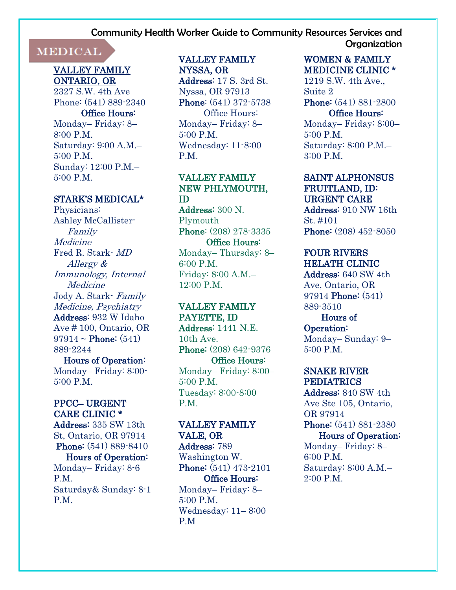## I

#### VALLEY FAMILY ONTARIO, OR

2327 S.W. 4th Ave Phone: (541) 889-2340

#### Office Hours:

Monday– Friday: 8– 8:00 P.M. Saturday: 9:00 A.M.– 5:00 P.M. Sunday: 12:00 P.M.– 5:00 P.M.

#### STARK'S MEDICAL\*

Physicians: Ashley McCallister-Family Medicine Fred R. Stark- MD Allergy & Immunology, Internal **Medicine** Jody A. Stark- Family Medicine, Psychiatry Address: 932 W Idaho Ave # 100, Ontario, OR  $97914 \sim$  Phone:  $(541)$ 889-2244

 Hours of Operation: Monday– Friday: 8:00- 5:00 P.M.

#### PPCC– URGENT CARE CLINIC \*

Address: 335 SW 13th St, Ontario, OR 97914 **Phone:** (541) 889-8410 Hours of Operation: Monday– Friday: 8-6 P.M. Saturday& Sunday: 8-1 P.M.

## VALLEY FAMILY

NYSSA, OR Address: 17 S. 3rd St. Nyssa, OR 97913 Phone: (541) 372-5738 Office Hours: Monday– Friday: 8– 5:00 P.M. Wednesday: 11-8:00 P.M.

#### VALLEY FAMILY NEW PHLYMOUTH, ID

Address: 300 N. Plymouth Phone: (208) 278-3335 Office Hours: Monday– Thursday: 8– 6:00 P.M. Friday: 8:00 A.M.– 12:00 P.M.

## VALLEY FAMILY

PAYETTE, ID Address: 1441 N.E. 10th Ave. Phone: (208) 642-9376 Office Hours: Monday– Friday: 8:00– 5:00 P.M. Tuesday: 8:00-8:00 P<sub>M</sub>

#### VALLEY FAMILY VALE, OR

Address: 789 Washington W. Phone: (541) 473-2101 Office Hours: Monday– Friday: 8– 5:00 P.M. Wednesday: 11– 8:00 P.M

#### WOMEN & FAMILY MEDICINE CLINIC \*

1219 S.W. 4th Ave., Suite 2 Phone: (541) 881-2800 Office Hours: Monday– Friday: 8:00– 5:00 P.M. Saturday: 8:00 P.M.– 3:00 P.M.

#### SAINT ALPHONSUS FRUITLAND, ID: URGENT CARE

Address: 910 NW 16th St. #101 Phone: (208) 452-8050

#### FOUR RIVERS HELATH CLINIC

Address: 640 SW 4th Ave, Ontario, OR 97914 Phone: (541) 889-3510

#### Hours of Operation: Monday– Sunday: 9–  $5:00 \text{ P M}$

#### SNAKE RIVER PEDIATRICS

Address: 840 SW 4th Ave Ste 105, Ontario, OR 97914 Phone: (541) 881-2380 Hours of Operation: Monday– Friday: 8– 6:00 P.M. Saturday: 8:00 A.M.– 2:00 P.M.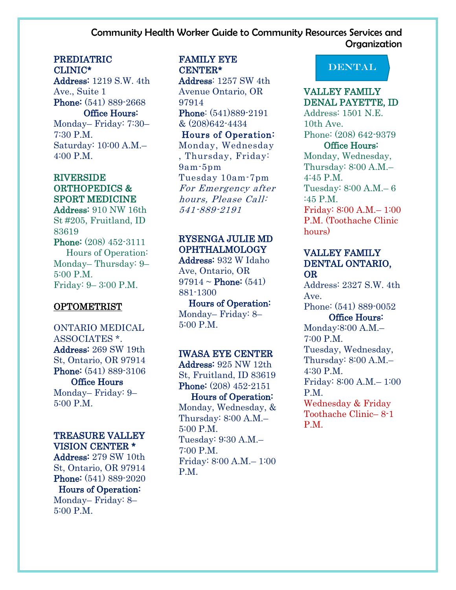#### PREDIATRIC CLINIC\*

Address: 1219 S.W. 4th Ave., Suite 1 Phone: (541) 889-2668 Office Hours: Monday– Friday: 7:30– 7:30 P.M.

Saturday: 10:00 A.M.– 4:00 P.M.

#### RIVERSIDE ORTHOPEDICS & SPORT MEDICINE

Address: 910 NW 16th St #205, Fruitland, ID 83619 Phone: (208) 452-3111 Hours of Operation: Monday– Thursday: 9– 5:00 P.M. Friday: 9– 3:00 P.M.

#### **OPTOMETRIST**

ONTARIO MEDICAL ASSOCIATES \*. Address: 269 SW 19th St, Ontario, OR 97914 Phone: (541) 889-3106 Office Hours Monday– Friday: 9– 5:00 P.M.

#### TREASURE VALLEY

VISION CENTER \* Address: 279 SW 10th St, Ontario, OR 97914 Phone: (541) 889-2020 Hours of Operation:

Monday– Friday: 8– 5:00 P.M.

#### FAMILY EYE CENTER\*

Address: 1257 SW 4th Avenue Ontario, OR 97914 Phone: (541)889-2191 & (208)642-4434

#### Hours of Operation: Monday, Wednesday , Thursday, Friday: 9am-5pm Tuesday 10am-7pm For Emergency after hours, Please Call: 541-889-2191

#### RYSENGA JULIE MD OPHTHALMOLOGY

Address: 932 W Idaho Ave, Ontario, OR  $97914 \sim$  Phone:  $(541)$ 881-1300

 Hours of Operation: Monday– Friday: 8– 5:00 P.M.

#### IWASA EYE CENTER

Address: 925 NW 12th St, Fruitland, ID 83619 Phone: (208) 452-2151

#### Hours of Operation:

Monday, Wednesday, & Thursday: 8:00 A.M.– 5:00 P.M. Tuesday: 9:30 A.M.– 7:00 P.M. Friday: 8:00 A.M.– 1:00 P.M.

## DENTAL

#### VALLEY FAMILY DENAL PAYETTE, ID

Address: 1501 N.E. 10th Ave. Phone: (208) 642-9379

#### Office Hours:

Monday, Wednesday, Thursday: 8:00 A.M.–  $4:45$  PM Tuesday: 8:00 A.M.– 6 :45 P.M. Friday: 8:00 A.M.– 1:00 P.M. (Toothache Clinic hours)

#### VALLEY FAMILY DENTAL ONTARIO, OR

Address: 2327 S.W. 4th Ave. Phone: (541) 889-0052 Office Hours:

Monday:8:00 A.M.– 7:00 P.M. Tuesday, Wednesday, Thursday: 8:00 A.M.– 4:30 P.M. Friday: 8:00 A.M.– 1:00 P.M. Wednesday & Friday Toothache Clinic– 8-1 P.M.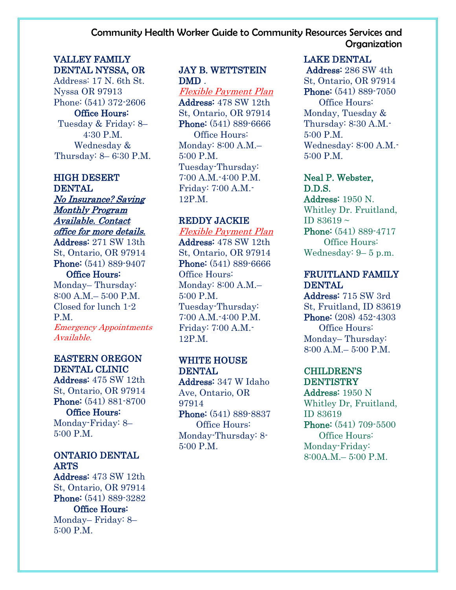#### VALLEY FAMILY DENTAL NYSSA, OR

Address: 17 N. 6th St. Nyssa OR 97913 Phone: (541) 372-2606 Office Hours: Tuesday & Friday: 8– 4:30 P.M. Wednesday & Thursday: 8– 6:30 P.M.

#### HIGH DESERT DENTAL

No Insurance? Saving Monthly Program Available. Contact office for more details. Address: 271 SW 13th St, Ontario, OR 97914 Phone: (541) 889-9407

#### Office Hours:

Monday– Thursday: 8:00 A.M.– 5:00 P.M. Closed for lunch 1-2 P.M. Emergency Appointments Available.

#### EASTERN OREGON DENTAL CLINIC

Address: 475 SW 12th St, Ontario, OR 97914 Phone: (541) 881-8700

 Office Hours: Monday-Friday: 8– 5:00 P.M.

### ONTARIO DENTAL ARTS

Address: 473 SW 12th St, Ontario, OR 97914 Phone: (541) 889-3282 Office Hours:

Monday– Friday: 8– 5:00 P.M.

#### JAY B. WETTSTEIN DMD .

Flexible Payment Plan Address: 478 SW 12th St, Ontario, OR 97914 Phone: (541) 889-6666 Office Hours: Monday: 8:00 A.M.– 5:00 P.M. Tuesday-Thursday: 7:00 A.M.-4:00 P.M. Friday: 7:00 A.M.- 12P.M.

#### REDDY JACKIE

Flexible Payment Plan Address: 478 SW 12th St, Ontario, OR 97914 Phone: (541) 889-6666 Office Hours: Monday: 8:00 A.M.– 5:00 P.M. Tuesday-Thursday: 7:00 A.M.-4:00 P.M. Friday: 7:00 A.M.- 12P.M.

#### WHITE HOUSE **DENTAL**

Address: 347 W Idaho Ave, Ontario, OR 97914

Phone: (541) 889-8837 Office Hours: Monday-Thursday: 8- 5:00 P.M.

#### LAKE DENTAL

Address: 286 SW 4th St, Ontario, OR 97914 Phone: (541) 889-7050 Office Hours: Monday, Tuesday & Thursday: 8:30 A.M.- 5:00 P.M. Wednesday: 8:00 A.M.- 5:00 P.M.

#### Neal P. Webster, D.D.S.

Address: 1950 N. Whitley Dr. Fruitland, ID 83619 ~ Phone: (541) 889-4717 Office Hours: Wednesday: 9– 5 p.m.

#### FRUITLAND FAMILY DENTAL

Address: 715 SW 3rd St, Fruitland, ID 83619 Phone: (208) 452-4303 Office Hours: Monday– Thursday:  $8:00 A M - 5:00 P M$ 

#### CHILDREN'S **DENTISTRY**

Address: 1950 N Whitley Dr, Fruitland, ID 83619 Phone: (541) 709-5500 Office Hours: Monday-Friday: 8:00A.M.– 5:00 P.M.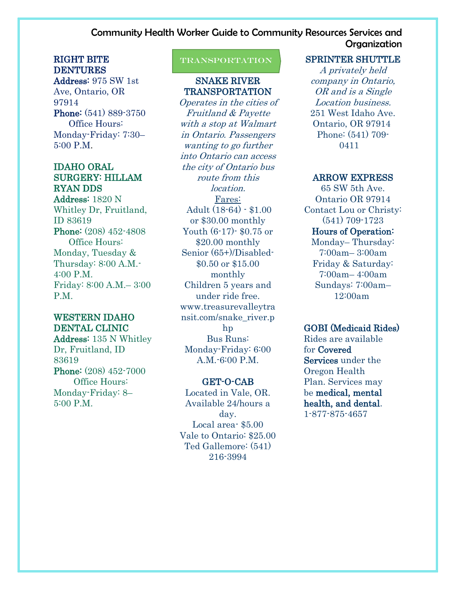#### RIGHT BITE DENTURES

Address: 975 SW 1st Ave, Ontario, OR 97914 Phone: (541) 889-3750 Office Hours: Monday-Friday: 7:30– 5:00 P.M.

#### IDAHO ORAL SURGERY: HILLAM RYAN DDS

Address: 1820 N Whitley Dr, Fruitland, ID 83619 Phone: (208) 452-4808 Office Hours: Monday, Tuesday & Thursday: 8:00 A.M.- 4:00 P.M. Friday: 8:00 A.M.– 3:00 P.M.

#### WESTERN IDAHO DENTAL CLINIC

Address: 135 N Whitley Dr, Fruitland, ID 83619 Phone: (208) 452-7000 Office Hours: Monday-Friday: 8– 5:00 P.M.

#### ֘֒ **TRANSPORTATION**

#### SNAKE RIVER TRANSPORTATION

Operates in the cities of Fruitland & Payette with a stop at Walmart in Ontario. Passengers wanting to go further into Ontario can access the city of Ontario bus route from this location. Fares: Adult (18-64) - \$1.00 or \$30.00 monthly Youth (6-17)- \$0.75 or \$20.00 monthly Senior (65+)/Disabled- \$0.50 or \$15.00 monthly Children 5 years and under ride free. www.treasurevalleytra nsit.com/snake\_river.p hp Bus Runs: Monday-Friday: 6:00 A.M.-6:00 P.M.

#### GET-O-CAB

Located in Vale, OR. Available 24/hours a day. Local area- \$5.00 Vale to Ontario: \$25.00 Ted Gallemore: (541) 216-3994

#### SPRINTER SHUTTLE

A privately held company in Ontario, OR and is a Single Location business. 251 West Idaho Ave. Ontario, OR 97914 Phone: (541) 709- 0411

#### ARROW EXPRESS

65 SW 5th Ave. Ontario OR 97914 Contact Lou or Christy: (541) 709-1723 Hours of Operation: Monday– Thursday: 7:00am– 3:00am Friday & Saturday: 7:00am– 4:00am Sundays: 7:00am– 12:00am

#### GOBI (Medicaid Rides)

Rides are available for Covered Services under the Oregon Health Plan. Services may be medical, mental health, and dental. 1-877-875-4657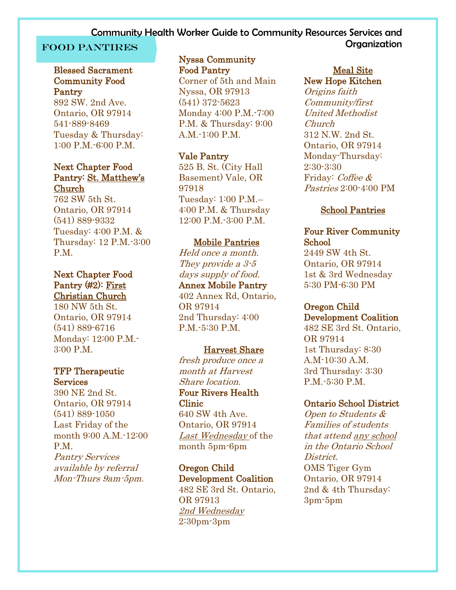#### Blessed Sacrament Community Food Pantry

892 SW. 2nd Ave. Ontario, OR 97914 541-889-8469 Tuesday & Thursday: 1:00 P.M.-6:00 P.M.

#### Next Chapter Food Pantry: St. Matthew's Church

762 SW 5th St. Ontario, OR 97914 (541) 889-9332 Tuesday: 4:00 P.M. & Thursday: 12 P.M.-3:00 P.M.

#### Next Chapter Food Pantry (#2): First Christian Church

180 NW 5th St. Ontario, OR 97914 (541) 889-6716 Monday: 12:00 P.M.- 3:00 P.M.

#### TFP Therapeutic **Services**

390 NE 2nd St. Ontario, OR 97914 (541) 889-1050 Last Friday of the month 9:00 A.M.-12:00 P<sub>M</sub> Pantry Services available by referral Mon-Thurs 9am-5pm.

#### Nyssa Community Food Pantry

Corner of 5th and Main Nyssa, OR 97913 (541) 372-5623 Monday 4:00 P.M.-7:00 P.M. & Thursday: 9:00 A.M.-1:00 P.M.

#### Vale Pantry

525 B. St. (City Hall Basement) Vale, OR 97918 Tuesday: 1:00 P.M.– 4:00 P.M. & Thursday 12:00 P.M.-3:00 P.M.

#### Mobile Pantries

Held once a month. They provide a  $3-5$ days supply of food. Annex Mobile Pantry 402 Annex Rd, Ontario, OR 97914 2nd Thursday: 4:00 P.M.-5:30 P.M.

#### Harvest Share

fresh produce once a month at Harvest Share location. Four Rivers Health Clinic 640 SW 4th Ave. Ontario, OR 97914

Last Wednesday of the month 5pm-6pm

Oregon Child Development Coalition 482 SE 3rd St. Ontario, OR 97913 2nd Wednesday 2:30pm-3pm

#### Meal Site New Hope Kitchen

Origins faith Community/first United Methodist Church 312 N.W. 2nd St. Ontario, OR 97914 Monday-Thursday: 2:30-3:30 Friday: Coffee & Pastries 2:00-4:00 PM

#### School Pantries

#### Four River Community School

2449 SW 4th St. Ontario, OR 97914 1st & 3rd Wednesday 5:30 PM-6:30 PM

#### Oregon Child Development Coalition

482 SE 3rd St. Ontario, OR 97914 1st Thursday: 8:30 A.M-10:30 A.M. 3rd Thursday: 3:30 P.M.-5:30 P.M.

#### Ontario School District

Open to Students & Families of students that attend any school in the Ontario School District. OMS Tiger Gym Ontario, OR 97914 2nd & 4th Thursday: 3pm-5pm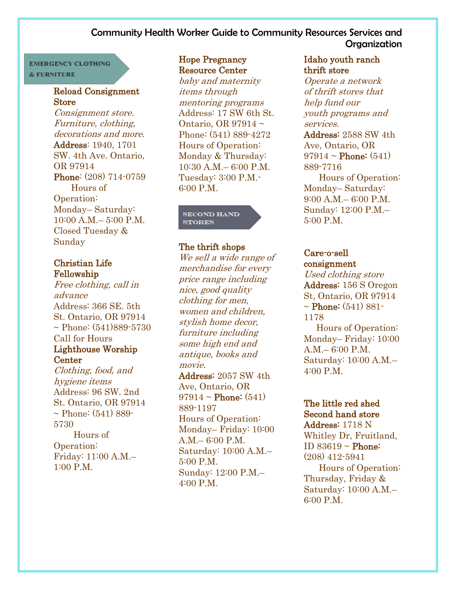#### **EMERGENCY CLOTHING** & FURNITURE

#### Reload Consignment **Store**

Consignment store. Furniture, clothing, decorations and more. Address: 1940, 1701 SW. 4th Ave. Ontario, OR 97914 Phone: (208) 714-0759 Hours of Operation: Monday– Saturday: 10:00 A.M.– 5:00 P.M. Closed Tuesday & Sunday

#### Christian Life Fellowship

Free clothing, call in advance Address: 366 SE. 5th St. Ontario, OR 97914  $\sim$  Phone: (541)889-5730 Call for Hours Lighthouse Worship **Center** 

Clothing, food, and hygiene items Address: 96 SW. 2nd St. Ontario, OR 97914  $\sim$  Phone: (541) 889-5730 Hours of Operation: Friday: 11:00 A.M.– 1:00 P.M.

#### Hope Pregnancy Resource Center

baby and maternity items through mentoring programs Address: 17 SW 6th St. Ontario, OR 97914 ~ Phone: (541) 889-4272 Hours of Operation: Monday & Thursday: 10:30 A.M.– 6:00 P.M. Tuesday: 3:00 P.M -6:00 P.M.

#### **SECOND HAND STORES**

#### The thrift shops

We sell a wide range of merchandise for every price range including nice, good quality clothing for men, women and children, stylish home decor, furniture including some high end and antique, books and movie. Address: 2057 SW 4th Ave, Ontario, OR

 $97914 \sim$  Phone: (541) 889-1197 Hours of Operation: Monday– Friday: 10:00 A.M.– 6:00 P.M. Saturday: 10:00 A.M.– 5:00 P.M. Sunday: 12:00 P.M.– 4:00 P.M.

#### Idaho youth ranch thrift store

Operate a network of thrift stores that help fund our youth programs and services.

Address: 2588 SW 4th Ave, Ontario, OR  $97914 \sim$  Phone:  $(541)$ 889-7716

 Hours of Operation: Monday– Saturday: 9:00 A.M.– 6:00 P.M. Sunday: 12:00 P.M.– 5:00 P.M.

#### Care-o-sell consignment

Used clothing store Address: 156 S Oregon St, Ontario, OR 97914  $\sim$  Phone: (541) 881-1178

 Hours of Operation: Monday– Friday: 10:00 A.M.– 6:00 P.M. Saturday: 10:00 A.M.– 4:00 P.M.

#### The little red shed Second hand store

Address: 1718 N Whitley Dr, Fruitland, ID 83619 ~ Phone: (208) 412-5941 Hours of Operation: Thursday, Friday & Saturday: 10:00 A.M.– 6:00 P.M.